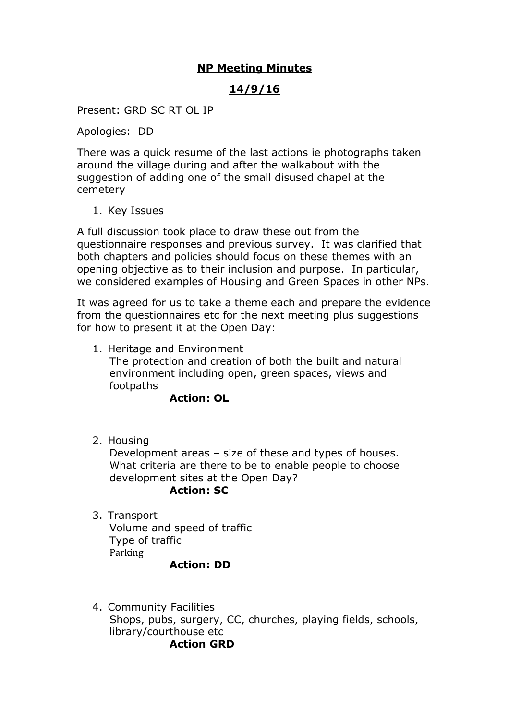## **NP Meeting Minutes**

## **14/9/16**

Present: GRD SC RT OL IP

Apologies: DD

There was a quick resume of the last actions ie photographs taken around the village during and after the walkabout with the suggestion of adding one of the small disused chapel at the cemetery

1. Key Issues

A full discussion took place to draw these out from the questionnaire responses and previous survey. It was clarified that both chapters and policies should focus on these themes with an opening objective as to their inclusion and purpose. In particular, we considered examples of Housing and Green Spaces in other NPs.

It was agreed for us to take a theme each and prepare the evidence from the questionnaires etc for the next meeting plus suggestions for how to present it at the Open Day:

1. Heritage and Environment The protection and creation of both the built and natural environment including open, green spaces, views and footpaths

## **Action: OL**

2. Housing

Development areas – size of these and types of houses. What criteria are there to be to enable people to choose development sites at the Open Day?

#### **Action: SC**

3. Transport Volume and speed of traffic Type of traffic Parking

#### **Action: DD**

4. Community Facilities Shops, pubs, surgery, CC, churches, playing fields, schools, library/courthouse etc **Action GRD**